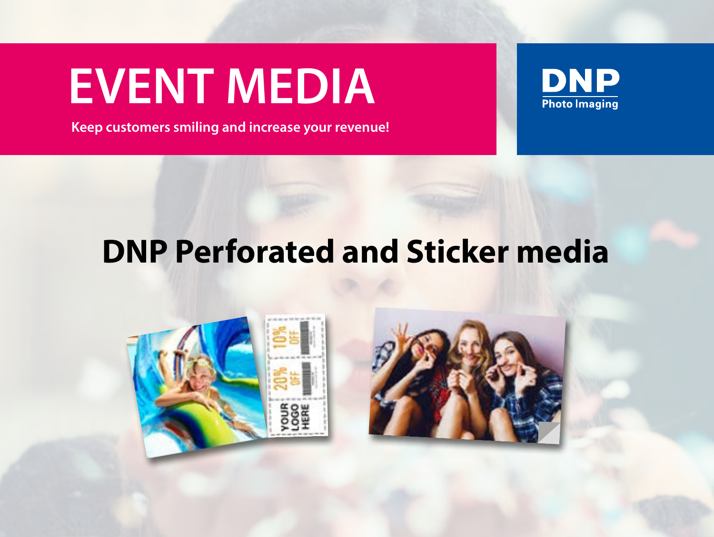# **EVENT MEDIA**

**Keep customers smiling and increase your revenue!**



# **DNP Perforated and Sticker media**



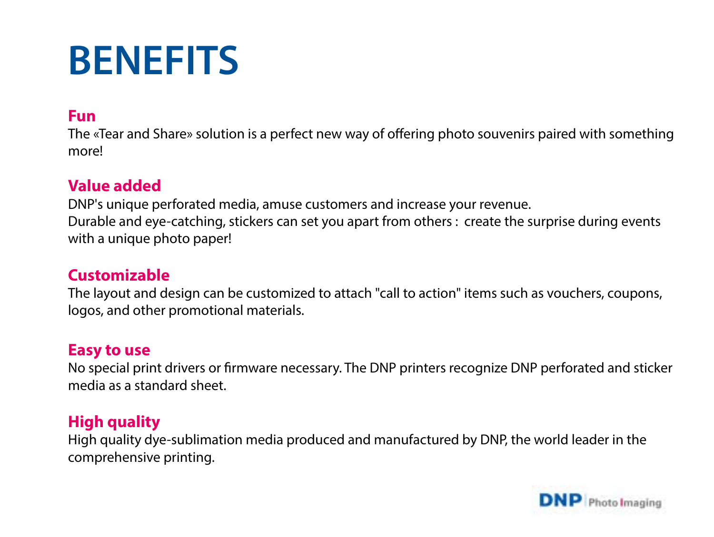# **BENEFITS**

## **Fun**

The «Tear and Share» solution is a perfect new way of offering photo souvenirs paired with something more!

## **Value added**

DNP's unique perforated media, amuse customers and increase your revenue. Durable and eye-catching, stickers can set you apart from others : create the surprise during events with a unique photo paper!

## **Customizable**

The layout and design can be customized to attach "call to action" items such as vouchers, coupons, logos, and other promotional materials.

# **Easy to use**

No special print drivers or firmware necessary. The DNP printers recognize DNP perforated and sticker media as a standard sheet.

# **High quality**

High quality dye-sublimation media produced and manufactured by DNP, the world leader in the comprehensive printing.

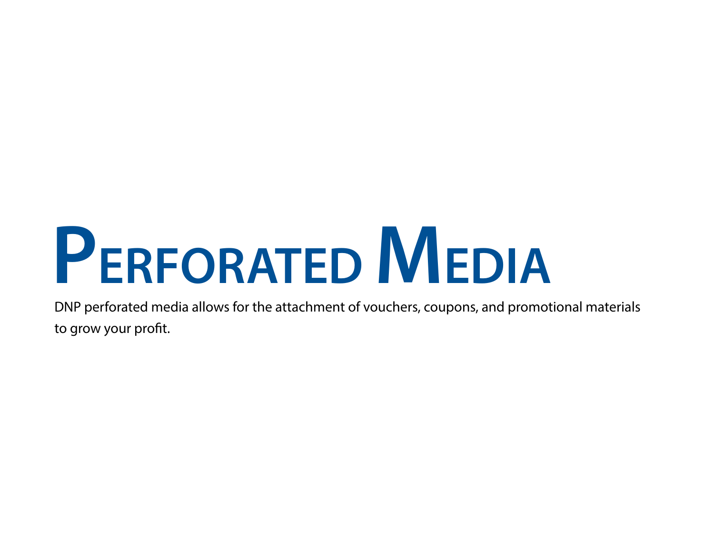# **PERFORATED MEDIA**

DNP perforated media allows for the attachment of vouchers, coupons, and promotional materials to grow your profit.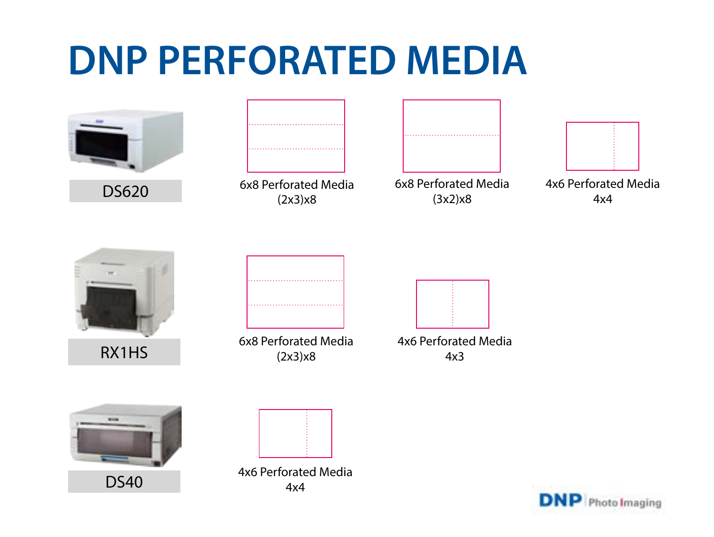# **DNP PERFORATED MEDIA**

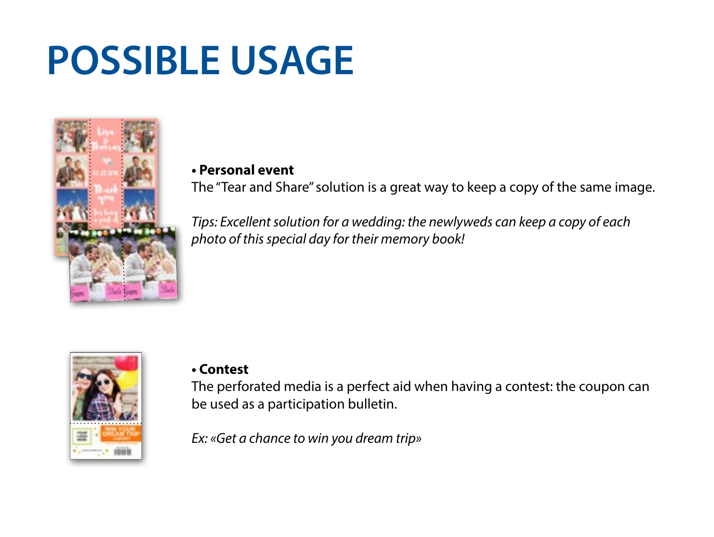# **POSSIBLE USAGE**



#### **• Personal event**

The "Tear and Share" solution is a great way to keep a copy of the same image.

*Tips: Excellent solution for a wedding: the newlyweds can keep a copy of each photo of this special day for their memory book!*



## **• Contest**

The perforated media is a perfect aid when having a contest: the coupon can be used as a participation bulletin.

*Ex: «Get a chance to win you dream trip»*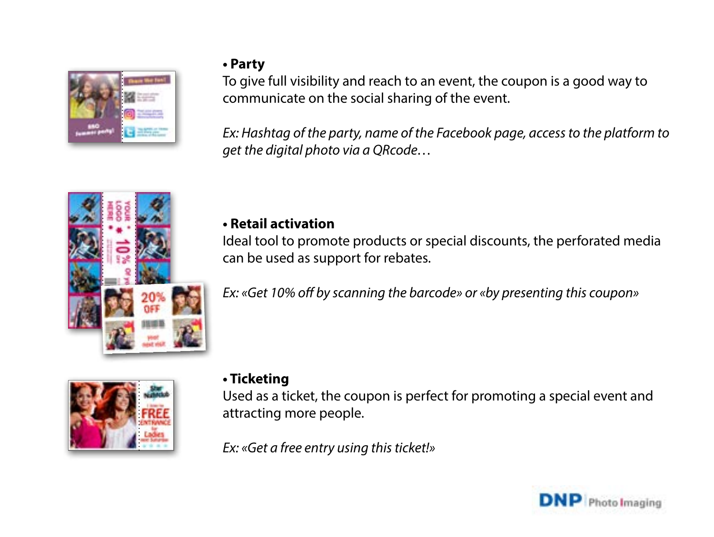

# **• Party**

To give full visibility and reach to an event, the coupon is a good way to communicate on the social sharing of the event.

*Ex: Hashtag of the party, name of the Facebook page, access to the platform to get the digital photo via a QRcode…*



## **• Retail activation**

Ideal tool to promote products or special discounts, the perforated media can be used as support for rebates.

*Ex: «Get 10% off by scanning the barcode» or «by presenting this coupon»* 



## **• Ticketing**

Used as a ticket, the coupon is perfect for promoting a special event and attracting more people.

*Ex: «Get a free entry using this ticket!»*

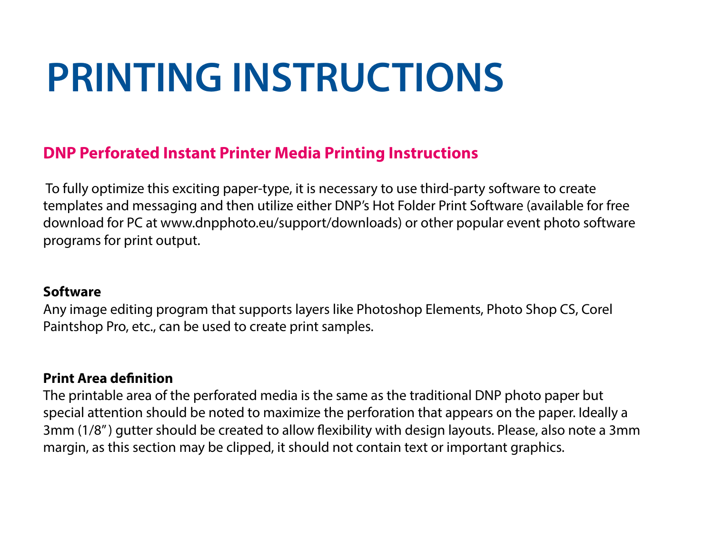# **PRINTING INSTRUCTIONS**

# **DNP Perforated Instant Printer Media Printing Instructions**

 To fully optimize this exciting paper-type, it is necessary to use third-party software to create templates and messaging and then utilize either DNP's Hot Folder Print Software (available for free download for PC at www.dnpphoto.eu/support/downloads) or other popular event photo software programs for print output.

#### **Software**

Any image editing program that supports layers like Photoshop Elements, Photo Shop CS, Corel Paintshop Pro, etc., can be used to create print samples.

## **Print Area definition**

The printable area of the perforated media is the same as the traditional DNP photo paper but special attention should be noted to maximize the perforation that appears on the paper. Ideally a 3mm (1/8" ) gutter should be created to allow flexibility with design layouts. Please, also note a 3mm margin, as this section may be clipped, it should not contain text or important graphics.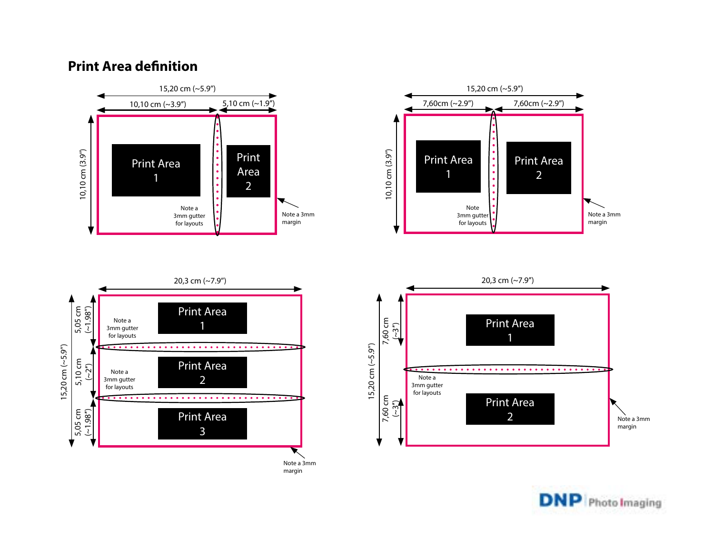#### **Print Area definition**





margin





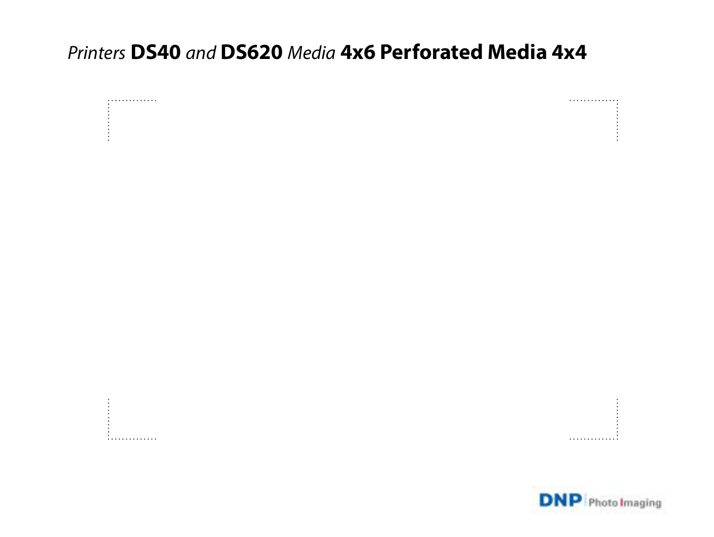# *Printers* **DS40** *and* **DS620** *Media* **4x6 Perforated Media 4x4**



. . . . . . . . . . . . . . . .

. . . . . . . . . . . . . . .

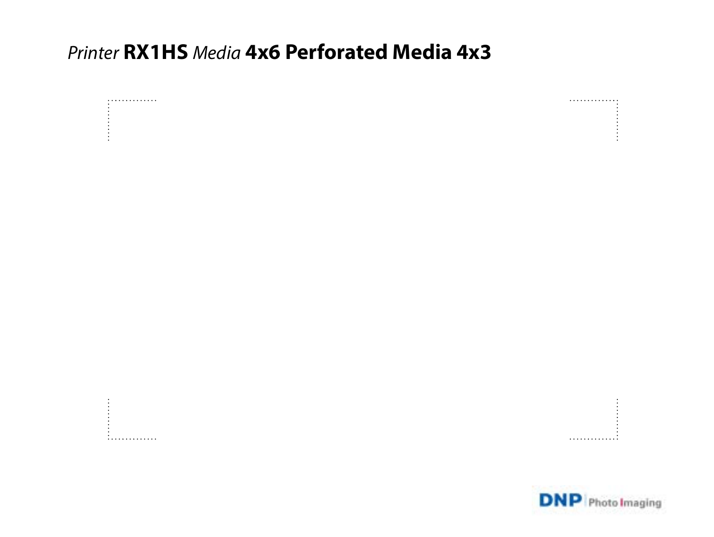# *Printer* **RX1HS** *Media* **4x6 Perforated Media 4x3**



. . . . . . . . . . . . . . . .



. . . . . . . . . . . . . . .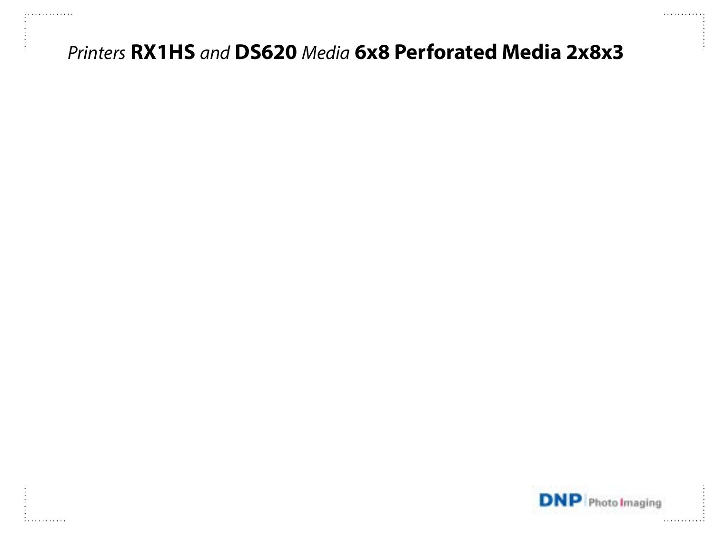# *Printers* **RX1HS** *and* **DS620** *Media* **6x8 Perforated Media 2x8x3**

**:..........** 

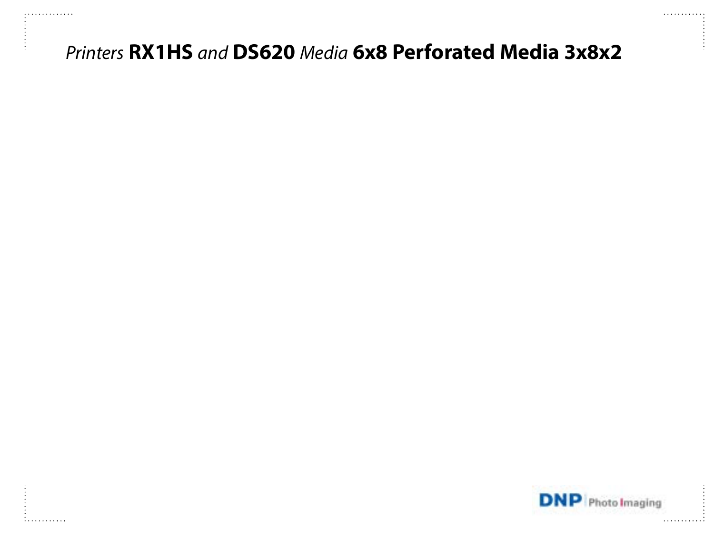# *Printers* **RX1HS** *and* **DS620** *Media* **6x8 Perforated Media 3x8x2**

**:..........** 

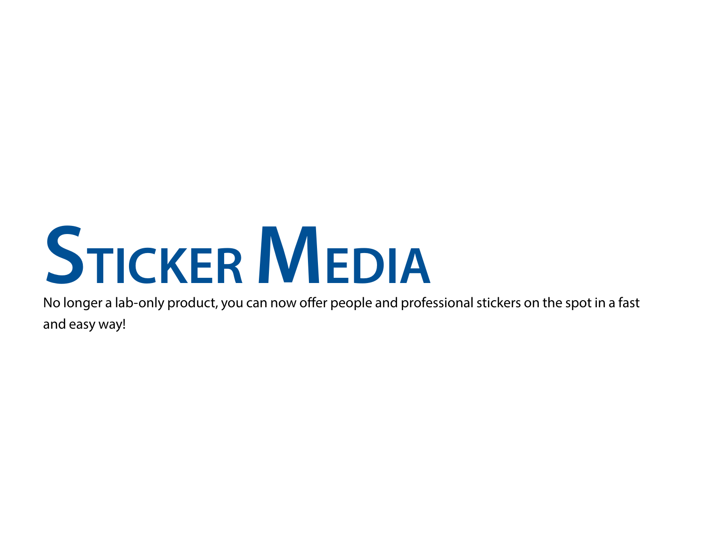# **STICKER MEDIA**

No longer a lab-only product, you can now offer people and professional stickers on the spot in a fast and easy way!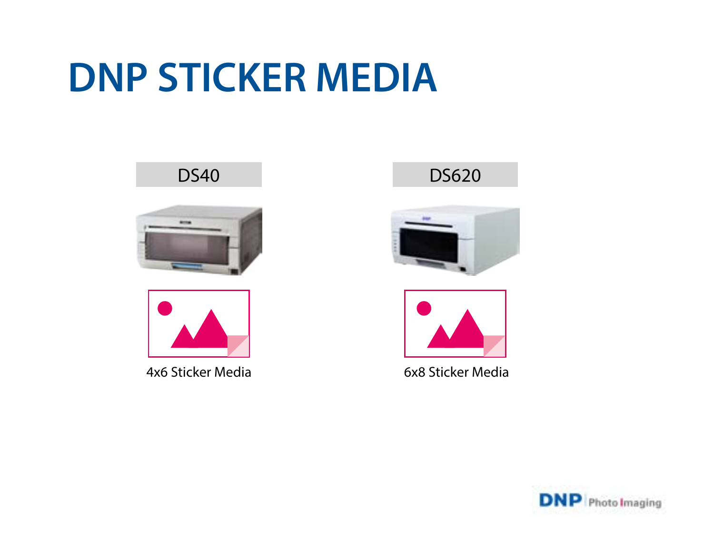# **DNP STICKER MEDIA**



4x6 Sticker Media 6x8 Sticker Media





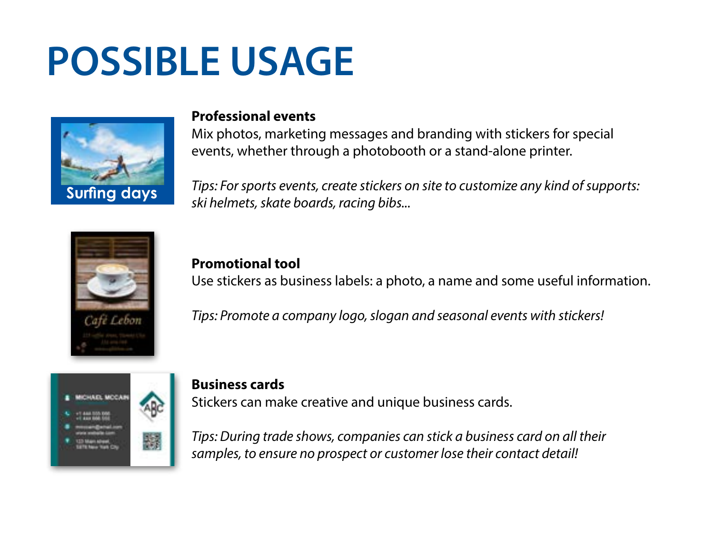# **POSSIBLE USAGE**



#### **Professional events**

Mix photos, marketing messages and branding with stickers for special events, whether through a photobooth or a stand-alone printer.

*Tips: For sports events, create stickers on site to customize any kind of supports: ski helmets, skate boards, racing bibs...*



**Promotional tool** Use stickers as business labels: a photo, a name and some useful information.

*Tips: Promote a company logo, slogan and seasonal events with stickers!*



#### **Business cards**

Stickers can make creative and unique business cards.

*Tips: During trade shows, companies can stick a business card on all their samples, to ensure no prospect or customer lose their contact detail!*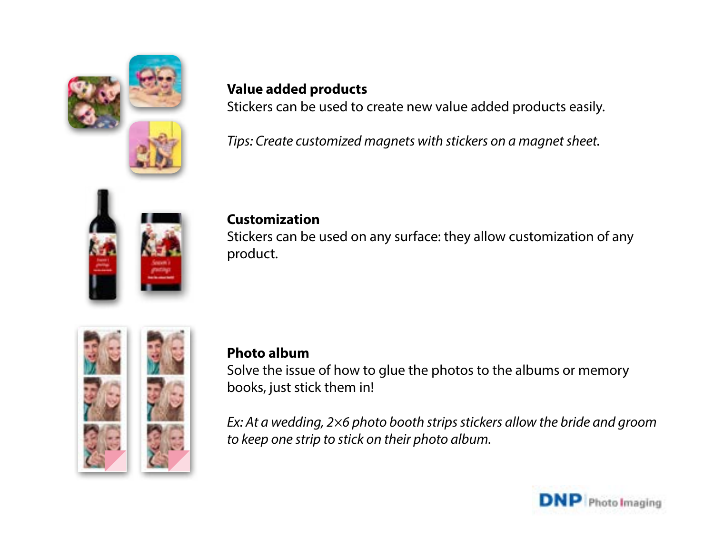

# **Value added products**

Stickers can be used to create new value added products easily.

*Tips: Create customized magnets with stickers on a magnet sheet.*



## **Customization**

Stickers can be used on any surface: they allow customization of any product.



# **Photo album**

Solve the issue of how to glue the photos to the albums or memory books, just stick them in!

*Ex: At a wedding, 2×6 photo booth strips stickers allow the bride and groom to keep one strip to stick on their photo album.*

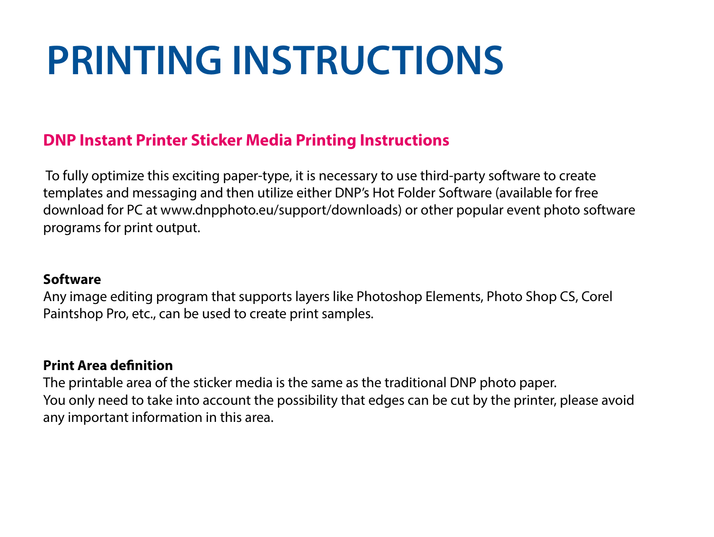# **PRINTING INSTRUCTIONS**

# **DNP Instant Printer Sticker Media Printing Instructions**

 To fully optimize this exciting paper-type, it is necessary to use third-party software to create templates and messaging and then utilize either DNP's Hot Folder Software (available for free download for PC at www.dnpphoto.eu/support/downloads) or other popular event photo software programs for print output.

## **Software**

Any image editing program that supports layers like Photoshop Elements, Photo Shop CS, Corel Paintshop Pro, etc., can be used to create print samples.

## **Print Area definition**

The printable area of the sticker media is the same as the traditional DNP photo paper. You only need to take into account the possibility that edges can be cut by the printer, please avoid any important information in this area.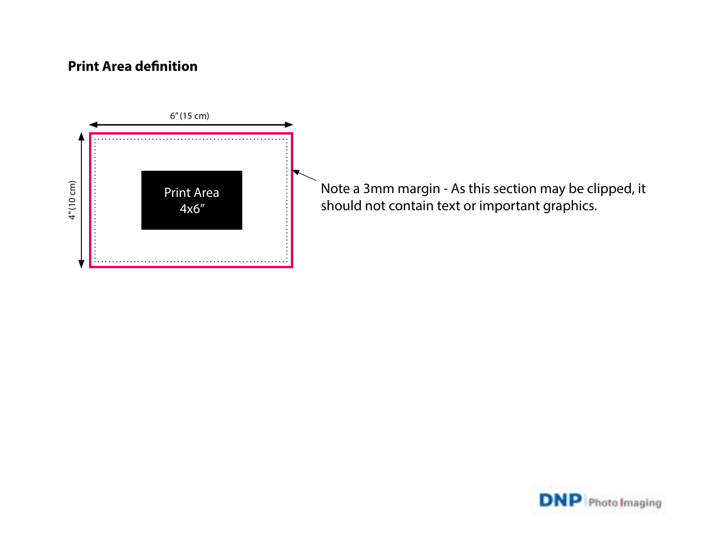## **Print Area definition**



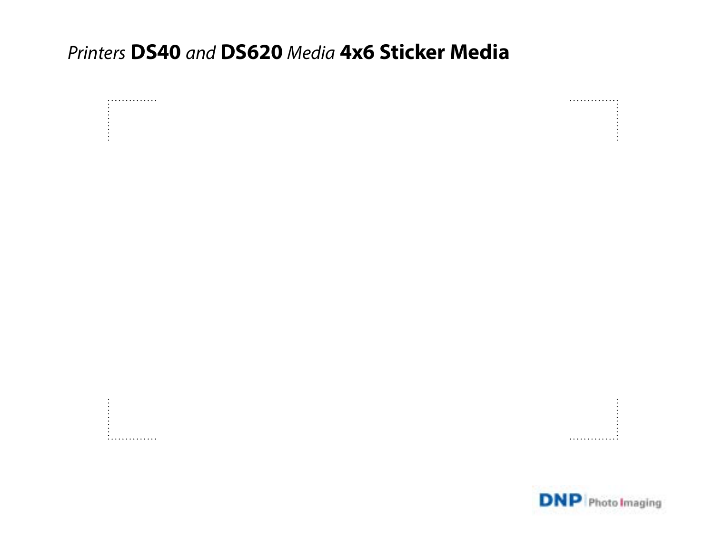# Printers DS40 and DS620 Media 4x6 Sticker Media



. 1. . . . . . . . . . . . . . . . . . . . . . . . . . . .

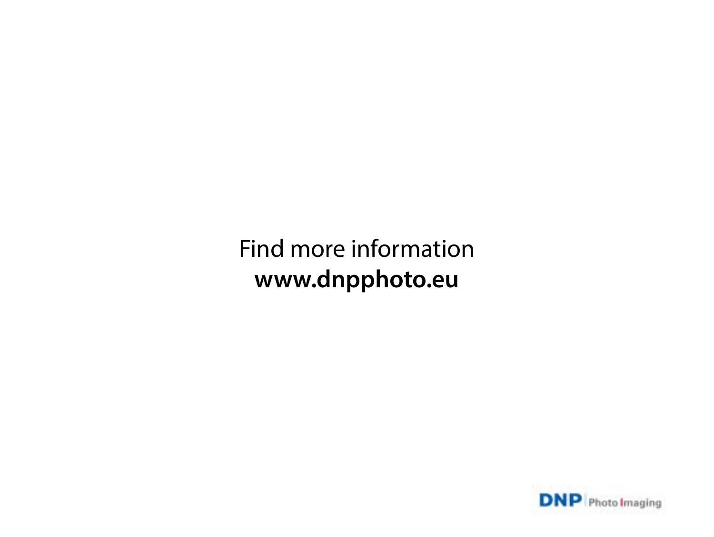# Find more information **www.dnpphoto.eu**